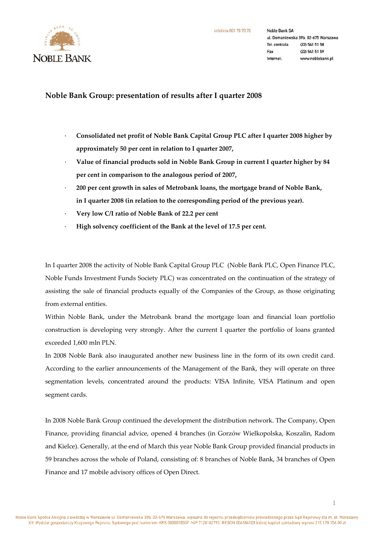

# **Noble Bank Group: presentation of results after I quarter 2008**

- · **Consolidated net profit of Noble Bank Capital Group PLC after I quarter 2008 higher by approximately 50 per cent in relation to I quarter 2007,**
- · **Value of financial products sold in Noble Bank Group in current I quarter higher by 84 per cent in comparison to the analogous period of 2007,**
- · **200 per cent growth in sales of Metrobank loans, the mortgage brand of Noble Bank, in I quarter 2008 (in relation to the corresponding period of the previous year).**
- · **Very low C/I ratio of Noble Bank of 22.2 per cent**
- · **High solvency coefficient of the Bank at the level of 17.5 per cent.**

In I quarter 2008 the activity of Noble Bank Capital Group PLC (Noble Bank PLC, Open Finance PLC, Noble Funds Investment Funds Society PLC) was concentrated on the continuation of the strategy of assisting the sale of financial products equally of the Companies of the Group, as those originating from external entities.

Within Noble Bank, under the Metrobank brand the mortgage loan and financial loan portfolio construction is developing very strongly. After the current I quarter the portfolio of loans granted exceeded 1,600 mln PLN.

In 2008 Noble Bank also inaugurated another new business line in the form of its own credit card. According to the earlier announcements of the Management of the Bank, they will operate on three segmentation levels, concentrated around the products: VISA Infinite, VISA Platinum and open segment cards.

In 2008 Noble Bank Group continued the development the distribution network. The Company, Open Finance, providing financial advice, opened 4 branches (in Gorzów Wielkopolska, Koszalin, Radom and Kielce). Generally, at the end of March this year Noble Bank Group provided financial products in 59 branches across the whole of Poland, consisting of: 8 branches of Noble Bank, 34 branches of Open Finance and 17 mobile advisory offices of Open Direct.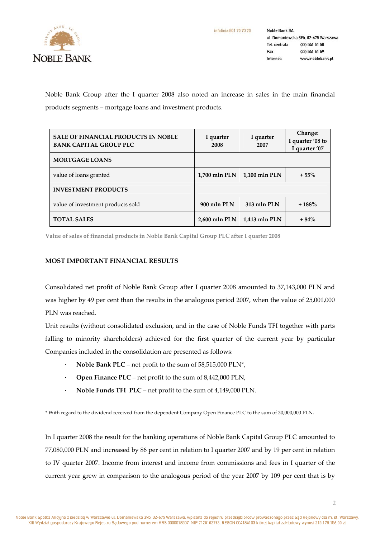

**Noble Bank SA** ul. Domaniewska 39b, 02-675 Warszawa Tel. centrala (22) 541 51 58 Fax (22) 541 51 59 www.noblebank.pl Internet-

Noble Bank Group after the I quarter 2008 also noted an increase in sales in the main financial products segments – mortgage loans and investment products.

| <b>SALE OF FINANCIAL PRODUCTS IN NOBLE</b><br><b>BANK CAPITAL GROUP PLC</b> | I quarter<br>2008 | I quarter<br>2007 | Change:<br>I quarter '08 to<br>I quarter '07 |
|-----------------------------------------------------------------------------|-------------------|-------------------|----------------------------------------------|
| <b>MORTGAGE LOANS</b>                                                       |                   |                   |                                              |
| value of loans granted                                                      | $1,700$ mln PLN   | 1,100 mln PLN     | $+55%$                                       |
| <b>INVESTMENT PRODUCTS</b>                                                  |                   |                   |                                              |
| value of investment products sold                                           | 900 mln PLN       | 313 mln PLN       | $+188%$                                      |
| <b>TOTAL SALES</b>                                                          | 2,600 mln PLN     | 1,413 mln PLN     | $+84%$                                       |

**Value of sales of financial products in Noble Bank Capital Group PLC after I quarter 2008**

## **MOST IMPORTANT FINANCIAL RESULTS**

Consolidated net profit of Noble Bank Group after I quarter 2008 amounted to 37,143,000 PLN and was higher by 49 per cent than the results in the analogous period 2007, when the value of 25,001,000 PLN was reached.

Unit results (without consolidated exclusion, and in the case of Noble Funds TFI together with parts falling to minority shareholders) achieved for the first quarter of the current year by particular Companies included in the consolidation are presented as follows:

- · **Noble Bank PLC** net profit to the sum of 58,515,000 PLN\*,
- · **Open Finance PLC** net profit to the sum of 8,442,000 PLN,
- · **Noble Funds TFI PLC** net profit to the sum of 4,149,000 PLN.

\* With regard to the dividend received from the dependent Company Open Finance PLC to the sum of 30,000,000 PLN.

In I quarter 2008 the result for the banking operations of Noble Bank Capital Group PLC amounted to 77,080,000 PLN and increased by 86 per cent in relation to I quarter 2007 and by 19 per cent in relation to IV quarter 2007. Income from interest and income from commissions and fees in I quarter of the current year grew in comparison to the analogous period of the year 2007 by 109 per cent that is by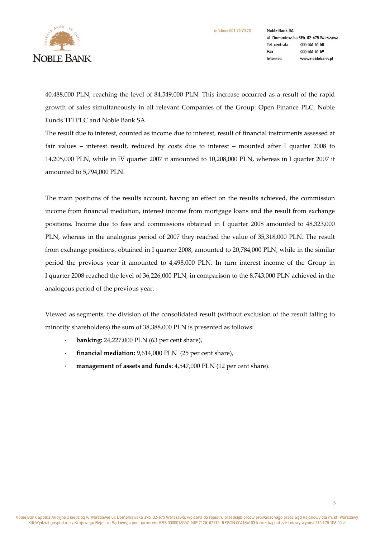**NOBLE BANK** 

**Noble Bank SA** ul. Domaniewska 39b, 02-675 Warszawa Tel. centrala (22) 541 51 58 Fax (22) 541 51 59 www.noblebank.pl Internet:

40,488,000 PLN, reaching the level of 84,549,000 PLN. This increase occurred as a result of the rapid growth of sales simultaneously in all relevant Companies of the Group: Open Finance PLC, Noble Funds TFI PLC and Noble Bank SA.

The result due to interest, counted as income due to interest, result of financial instruments assessed at fair values – interest result, reduced by costs due to interest – mounted after I quarter 2008 to 14,205,000 PLN, while in IV quarter 2007 it amounted to 10,208,000 PLN, whereas in I quarter 2007 it amounted to 5,794,000 PLN.

The main positions of the results account, having an effect on the results achieved, the commission income from financial mediation, interest income from mortgage loans and the result from exchange positions. Income due to fees and commissions obtained in I quarter 2008 amounted to 48,323,000 PLN, whereas in the analogous period of 2007 they reached the value of 35,318,000 PLN. The result from exchange positions, obtained in I quarter 2008, amounted to 20,784,000 PLN, while in the similar period the previous year it amounted to 4,498,000 PLN. In turn interest income of the Group in I quarter 2008 reached the level of 36,226,000 PLN, in comparison to the 8,743,000 PLN achieved in the analogous period of the previous year.

Viewed as segments, the division of the consolidated result (without exclusion of the result falling to minority shareholders) the sum of 38,388,000 PLN is presented as follows:

- · **banking:** 24,227,000 PLN (63 per cent share),
- · **financial mediation:** 9,614,000 PLN (25 per cent share),
- · **management of assets and funds:** 4,547,000 PLN (12 per cent share).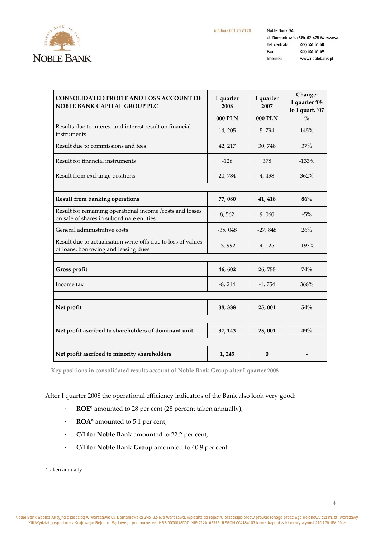

Noble Bank SA ul. Domaniewska 39b, 02-675 Warszawa Tel. centrala (22) 541 51 58 Fax (22) 541 51 59 Internet: www.noblebank.pl

| CONSOLIDATED PROFIT AND LOSS ACCOUNT OF<br><b>NOBLE BANK CAPITAL GROUP PLC</b>                         | I quarter<br>2008 | I quarter<br>2007 | Change:<br>I quarter '08<br>to I quart. '07 |
|--------------------------------------------------------------------------------------------------------|-------------------|-------------------|---------------------------------------------|
|                                                                                                        | 000 PLN           | 000 PLN           | $\frac{0}{0}$                               |
| Results due to interest and interest result on financial<br>instruments                                | 14, 205           | 5,794             | 145%                                        |
| Result due to commissions and fees                                                                     | 42, 217           | 30,748            | 37%                                         |
| Result for financial instruments                                                                       | $-126$            | 378               | $-133%$                                     |
| Result from exchange positions                                                                         | 20,784            | 4, 498            | 362%                                        |
|                                                                                                        |                   |                   |                                             |
| <b>Result from banking operations</b>                                                                  | 77,080            | 41, 418           | 86%                                         |
| Result for remaining operational income /costs and losses<br>on sale of shares in subordinate entities | 8,562             | 9,060             | $-5%$                                       |
| General administrative costs                                                                           | $-35,048$         | $-27,848$         | 26%                                         |
| Result due to actualisation write-offs due to loss of values<br>of loans, borrowing and leasing dues   | $-3,992$          | 4, 125            | $-197%$                                     |
|                                                                                                        |                   |                   |                                             |
| Gross profit                                                                                           | 46,602            | 26,755            | <b>74%</b>                                  |
| Income tax                                                                                             | $-8, 214$         | $-1,754$          | 368%                                        |
|                                                                                                        |                   |                   |                                             |
| Net profit                                                                                             | 38, 388           | 25,001            | 54%                                         |
|                                                                                                        |                   |                   |                                             |
| Net profit ascribed to shareholders of dominant unit                                                   | 37, 143           | 25,001            | 49%                                         |
|                                                                                                        |                   |                   |                                             |
| Net profit ascribed to minority shareholders                                                           | 1, 245            | $\bf{0}$          |                                             |

**Key positions in consolidated results account of Noble Bank Group after I quarter 2008**

After I quarter 2008 the operational efficiency indicators of the Bank also look very good:

- · **ROE**\* amounted to 28 per cent (28 percent taken annually),
- · **ROA**\* amounted to 5.1 per cent,
- · **C/I for Noble Bank** amounted to 22.2 per cent,
- · **C/I for Noble Bank Group** amounted to 40.9 per cent.

\* taken annually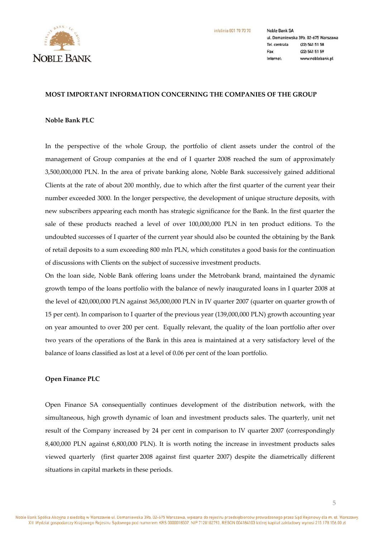

**Noble Bank SA** ul. Domaniewska 39b, 02-675 Warszawa Tel. centrala (22) 541 51 58 Fax (22) 541 51 59 Internet: www.noblebank.pl

## **MOST IMPORTANT INFORMATION CONCERNING THE COMPANIES OF THE GROUP**

## **Noble Bank PLC**

In the perspective of the whole Group, the portfolio of client assets under the control of the management of Group companies at the end of I quarter 2008 reached the sum of approximately 3,500,000,000 PLN. In the area of private banking alone, Noble Bank successively gained additional Clients at the rate of about 200 monthly, due to which after the first quarter of the current year their number exceeded 3000. In the longer perspective, the development of unique structure deposits, with new subscribers appearing each month has strategic significance for the Bank. In the first quarter the sale of these products reached a level of over 100,000,000 PLN in ten product editions. To the undoubted successes of I quarter of the current year should also be counted the obtaining by the Bank of retail deposits to a sum exceeding 800 mln PLN, which constitutes a good basis for the continuation of discussions with Clients on the subject of successive investment products.

On the loan side, Noble Bank offering loans under the Metrobank brand, maintained the dynamic growth tempo of the loans portfolio with the balance of newly inaugurated loans in I quarter 2008 at the level of 420,000,000 PLN against 365,000,000 PLN in IV quarter 2007 (quarter on quarter growth of 15 per cent). In comparison to I quarter of the previous year (139,000,000 PLN) growth accounting year on year amounted to over 200 per cent. Equally relevant, the quality of the loan portfolio after over two years of the operations of the Bank in this area is maintained at a very satisfactory level of the balance of loans classified as lost at a level of 0.06 per cent of the loan portfolio.

## **Open Finance PLC**

Open Finance SA consequentially continues development of the distribution network, with the simultaneous, high growth dynamic of loan and investment products sales. The quarterly, unit net result of the Company increased by 24 per cent in comparison to IV quarter 2007 (correspondingly 8,400,000 PLN against 6,800,000 PLN). It is worth noting the increase in investment products sales viewed quarterly (first quarter 2008 against first quarter 2007) despite the diametrically different situations in capital markets in these periods.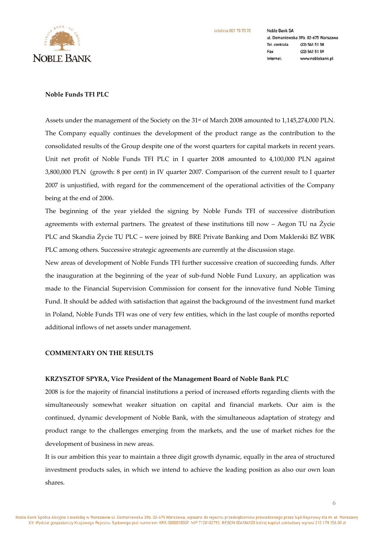

**Noble Bank SA** ul. Domaniewska 39b, 02-675 Warszawa Tel. centrala (22) 541 51 58 Fax (22) 541 51 59 www.noblebank.pl Internet:

# **Noble Funds TFI PLC**

Assets under the management of the Society on the 31<sup>st</sup> of March 2008 amounted to 1,145,274,000 PLN. The Company equally continues the development of the product range as the contribution to the consolidated results of the Group despite one of the worst quarters for capital markets in recent years. Unit net profit of Noble Funds TFI PLC in I quarter 2008 amounted to 4,100,000 PLN against 3,800,000 PLN (growth: 8 per cent) in IV quarter 2007. Comparison of the current result to I quarter 2007 is unjustified, with regard for the commencement of the operational activities of the Company being at the end of 2006.

The beginning of the year yielded the signing by Noble Funds TFI of successive distribution agreements with external partners. The greatest of these institutions till now – Aegon TU na Życie PLC and Skandia Życie TU PLC – were joined by BRE Private Banking and Dom Maklerski BZ WBK PLC among others. Successive strategic agreements are currently at the discussion stage.

New areas of development of Noble Funds TFI further successive creation of succeeding funds. After the inauguration at the beginning of the year of sub-fund Noble Fund Luxury, an application was made to the Financial Supervision Commission for consent for the innovative fund Noble Timing Fund. It should be added with satisfaction that against the background of the investment fund market in Poland, Noble Funds TFI was one of very few entities, which in the last couple of months reported additional inflows of net assets under management.

# **COMMENTARY ON THE RESULTS**

### **KRZYSZTOF SPYRA, Vice President of the Management Board of Noble Bank PLC**

2008 is for the majority of financial institutions a period of increased efforts regarding clients with the simultaneously somewhat weaker situation on capital and financial markets. Our aim is the continued, dynamic development of Noble Bank, with the simultaneous adaptation of strategy and product range to the challenges emerging from the markets, and the use of market niches for the development of business in new areas.

It is our ambition this year to maintain a three digit growth dynamic, equally in the area of structured investment products sales, in which we intend to achieve the leading position as also our own loan shares.